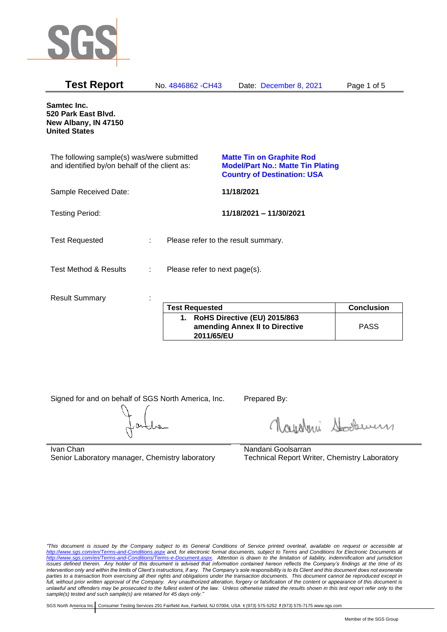

| <b>Test Report</b>                                                                          |   | No. 4846862 - CH43            | Date: December 8, 2021                                                                                             | Page 1 of 5       |
|---------------------------------------------------------------------------------------------|---|-------------------------------|--------------------------------------------------------------------------------------------------------------------|-------------------|
| Samtec Inc.<br>520 Park East Blvd.<br>New Albany, IN 47150<br><b>United States</b>          |   |                               |                                                                                                                    |                   |
| The following sample(s) was/were submitted<br>and identified by/on behalf of the client as: |   |                               | <b>Matte Tin on Graphite Rod</b><br><b>Model/Part No.: Matte Tin Plating</b><br><b>Country of Destination: USA</b> |                   |
| Sample Received Date:                                                                       |   |                               | 11/18/2021                                                                                                         |                   |
| <b>Testing Period:</b>                                                                      |   |                               | 11/18/2021 - 11/30/2021                                                                                            |                   |
| <b>Test Requested</b>                                                                       | ÷ |                               | Please refer to the result summary.                                                                                |                   |
| <b>Test Method &amp; Results</b>                                                            | ÷ | Please refer to next page(s). |                                                                                                                    |                   |
| <b>Result Summary</b>                                                                       |   |                               |                                                                                                                    |                   |
|                                                                                             |   | <b>Test Requested</b>         |                                                                                                                    | <b>Conclusion</b> |
|                                                                                             |   | <b>BULLA BALLANDE</b>         | $I = I \cup A \cup I \cup A$                                                                                       |                   |

| <b>Test Requested</b>                                                           | <b>Conclusion</b> |
|---------------------------------------------------------------------------------|-------------------|
| 1. RoHS Directive (EU) 2015/863<br>amending Annex II to Directive<br>2011/65/EU | <b>PASS</b>       |

Signed for and on behalf of SGS North America, Inc. Prepared By:

Navaleni Soomun

Ivan Chan Senior Laboratory manager, Chemistry laboratory Nandani Goolsarran Technical Report Writer, Chemistry Laboratory

*"This document is issued by the Company subject to its General Conditions of Service printed overleaf, available on request or accessible at <http://www.sgs.com/en/Terms-and-Conditions.aspx> and, for electronic format documents, subject to Terms and Conditions for Electronic Documents at [http://www.sgs.com/en/Terms-and-Conditions/Terms-e-Document.aspx.](http://www.sgs.com/en/Terms-and-Conditions/Terms-e-Document.aspx) Attention is drawn to the limitation of liability, indemnification and jurisdiction issues defined therein. Any holder of this document is advised that information contained hereon reflects the Company's findings at the time of its intervention only and within the limits of Client's instructions, if any. The Company's sole responsibility is to its Client and this document does not exonerate parties to a transaction from exercising all their rights and obligations under the transaction documents. This document cannot be reproduced except in full, without prior written approval of the Company. Any unauthorized alteration, forgery or falsification of the content or appearance of this document is unlawful and offenders may be prosecuted to the fullest extent of the law. Unless otherwise stated the results shown in this test report refer only to the sample(s) tested and such sample(s) are retained for 45 days only."*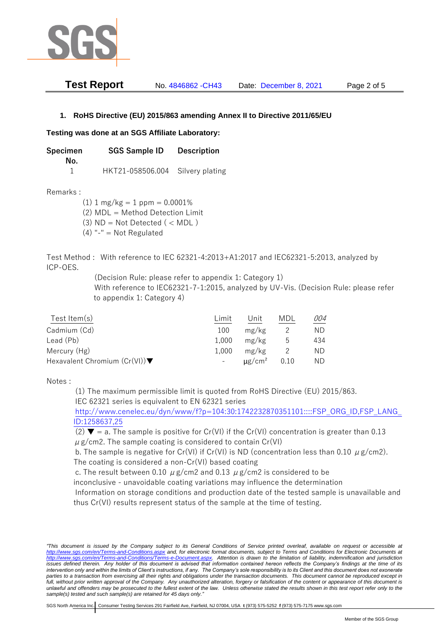

| <b>Test Report</b> | No. 4846862 - CH43 | Date: December 8, 2021 | Page 2 of 5 |
|--------------------|--------------------|------------------------|-------------|
|--------------------|--------------------|------------------------|-------------|

## **1. RoHS Directive (EU) 2015/863 amending Annex II to Directive 2011/65/EU**

## **Testing was done at an SGS Affiliate Laboratory:**

**Specimen SGS Sample ID Description No.** 1 HKT21-058506.004 Silvery plating

Remarks :

 $(1)$  1 mg/kg = 1 ppm = 0.0001% (2) MDL = Method Detection Limit

 $(3)$  ND = Not Detected  $($  < MDL)

(4) "-" = Not Regulated

Test Method : With reference to IEC 62321-4:2013+A1:2017 and IEC62321-5:2013, analyzed by ICP-OES.

(Decision Rule: please refer to appendix 1: Category 1)

With reference to IEC62321-7-1:2015, analyzed by UV-Vis. (Decision Rule: please refer to appendix 1: Category 4)

| Test Item $(s)$                                  | Limit | Unit                    | MDL  | 004 |
|--------------------------------------------------|-------|-------------------------|------|-----|
| Cadmium (Cd)                                     | 100   | mg/kg                   |      | ND. |
| Lead (Pb)                                        | 1.000 | mg/kg                   | ხ    | 434 |
| Mercury (Hg)                                     | 1.000 | mg/kg                   |      | ND  |
| Hexavalent Chromium $(Cr(VI))\blacktriangledown$ |       | $\mu$ g/cm <sup>2</sup> | 0.10 | ND. |

Notes :

(1) The maximum permissible limit is quoted from RoHS Directive (EU) 2015/863. IEC 62321 series is equivalent to EN 62321 series

[http://www.cenelec.eu/dyn/www/f?p=104:30:1742232870351101::::FSP\\_ORG\\_ID,FSP\\_LANG\\_](http://www.cenelec.eu/dyn/www/f?p=104:30:1742232870351101::::FSP_ORG_ID,FSP_LANG_ID:1258637,25) [ID:1258637,25](http://www.cenelec.eu/dyn/www/f?p=104:30:1742232870351101::::FSP_ORG_ID,FSP_LANG_ID:1258637,25)

(2)  $\blacktriangledown$  = a. The sample is positive for Cr(VI) if the Cr(VI) concentration is greater than 0.13  $\mu$  g/cm2. The sample coating is considered to contain Cr(VI)

b. The sample is negative for Cr(VI) if Cr(VI) is ND (concentration less than 0.10  $\mu$  g/cm2). The coating is considered a non-Cr(VI) based coating

c. The result between 0.10  $\mu$  g/cm2 and 0.13  $\mu$  g/cm2 is considered to be

inconclusive - unavoidable coating variations may influence the determination

Information on storage conditions and production date of the tested sample is unavailable and thus Cr(VI) results represent status of the sample at the time of testing.

*"This document is issued by the Company subject to its General Conditions of Service printed overleaf, available on request or accessible at <http://www.sgs.com/en/Terms-and-Conditions.aspx> and, for electronic format documents, subject to Terms and Conditions for Electronic Documents at [http://www.sgs.com/en/Terms-and-Conditions/Terms-e-Document.aspx.](http://www.sgs.com/en/Terms-and-Conditions/Terms-e-Document.aspx) Attention is drawn to the limitation of liability, indemnification and jurisdiction*  issues defined therein. Any holder of this document is advised that information contained hereon reflects the Company's findings at the time of its *intervention only and within the limits of Client's instructions, if any. The Company's sole responsibility is to its Client and this document does not exonerate*  parties to a transaction from exercising all their rights and obligations under the transaction documents. This document cannot be reproduced except in *full, without prior written approval of the Company. Any unauthorized alteration, forgery or falsification of the content or appearance of this document is unlawful and offenders may be prosecuted to the fullest extent of the law. Unless otherwise stated the results shown in this test report refer only to the sample(s) tested and such sample(s) are retained for 45 days only."*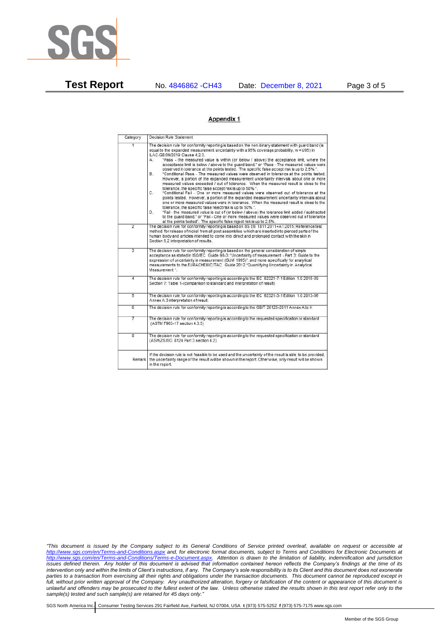

**Test Report** No. 4846862 -CH43 Date: December 8, 2021 Page 3 of 5

## Appendix 1

| Category       | Decision Rule Statement                                                                                                                                                                                                                                                                                                                                                                                                                                                                                                                                                                                                                                                                                                                                                                                                                                                                                                                                                                                                                                                                                                                                                                                                                                                                                                                                                                                                                    |  |  |  |
|----------------|--------------------------------------------------------------------------------------------------------------------------------------------------------------------------------------------------------------------------------------------------------------------------------------------------------------------------------------------------------------------------------------------------------------------------------------------------------------------------------------------------------------------------------------------------------------------------------------------------------------------------------------------------------------------------------------------------------------------------------------------------------------------------------------------------------------------------------------------------------------------------------------------------------------------------------------------------------------------------------------------------------------------------------------------------------------------------------------------------------------------------------------------------------------------------------------------------------------------------------------------------------------------------------------------------------------------------------------------------------------------------------------------------------------------------------------------|--|--|--|
| $\overline{1}$ | The decision rule for conformity reporting is based on the non-binary statement with quard band (is<br>equal to the expanded measurement uncertainty with a 95% coverage probability, w = U95) in<br>ILAC-G8:09/2019 Clause 4.2.3.<br>"Pass - the measured value is within (or below / above) the acceptance limit, where the<br>А.<br>acceptance limit is below / above to the quard band," or "Pass - The measured values were<br>observed in tolerance at the points tested. The specific false accept risk is up to 2.5%.".<br>B.<br>"Conditional Pass - The measured values were observed in tolerance at the points tested.<br>However, a portion of the expanded measurement uncertainty intervals about one or more<br>measured values exceeded / out of tolerance. When the measured result is close to the<br>tolerance, the specific false accept risk is up to 50%.".<br>C.<br>"Conditional Fail - One or more measured values were observed out of tolerance at the<br>points tested. However, a portion of the expanded measurement uncertainty intervals about<br>one or more measured values were in tolerance. When the measured result is close to the<br>tolerance, the specific false reject risk is up to 50%.".<br>"Fail - the measured value is out of (or below / above) the tolerance limit added / subtracted<br>D.<br>to the quard band." or "Fail - One or more measured values were observed out of tolerance |  |  |  |
| $\overline{2}$ | at the points tested". The specific false reject risk is up to 2.5%.<br>The decision rule for conformity reporting is based on BS EN 1811:2011+A1:2015: Reference test<br>method for release of nickel from all post assemblies which are inserted into pierced parts of the<br>human body and articles intended to come into direct and prolonged contact with the skin in<br>Section 9.2 interpretation of results.                                                                                                                                                                                                                                                                                                                                                                                                                                                                                                                                                                                                                                                                                                                                                                                                                                                                                                                                                                                                                      |  |  |  |
| $\overline{3}$ | The decision rule for conformity reporting is based on the general consideration of simple<br>acceptance as stated in ISO/IEC Guide 98-3: "Uncertainty of measurement - Part 3: Guide to the<br>expression of uncertainty in measurement (GUM 1995)", and more specifically for analytical<br>measurements to the EURACHEM/CITAC Guide 2012 "Quantifying Uncertainty in Analytical<br>Measurement *                                                                                                                                                                                                                                                                                                                                                                                                                                                                                                                                                                                                                                                                                                                                                                                                                                                                                                                                                                                                                                        |  |  |  |
| 4              | The decision rule for conformity reporting is according to the IEC 62321-7-1 Edition 1.0 2015-09<br>Section 7: Table 1-(comparison to standard and interpretation of result)                                                                                                                                                                                                                                                                                                                                                                                                                                                                                                                                                                                                                                                                                                                                                                                                                                                                                                                                                                                                                                                                                                                                                                                                                                                               |  |  |  |
| $\overline{5}$ | The decision rule for conformity reporting is according to the IEC 62321-3-1 Edition 1.0 2013-06<br>Annex A.3 interpretation of result.                                                                                                                                                                                                                                                                                                                                                                                                                                                                                                                                                                                                                                                                                                                                                                                                                                                                                                                                                                                                                                                                                                                                                                                                                                                                                                    |  |  |  |
| Б              | The decision rule for conformity reporting is according to the GB/T 26125-2011 Annex A to H                                                                                                                                                                                                                                                                                                                                                                                                                                                                                                                                                                                                                                                                                                                                                                                                                                                                                                                                                                                                                                                                                                                                                                                                                                                                                                                                                |  |  |  |
| 7              | The decision rule for conformity reporting is according to the requested specification or standard<br>(ASTM F963-17 section 4.3.5)                                                                                                                                                                                                                                                                                                                                                                                                                                                                                                                                                                                                                                                                                                                                                                                                                                                                                                                                                                                                                                                                                                                                                                                                                                                                                                         |  |  |  |
| $\overline{8}$ | The decision rule for conformity reporting is according to the requested specification or standard<br>(AS/NZS ISO 8124 Part 3 section 4.2)                                                                                                                                                                                                                                                                                                                                                                                                                                                                                                                                                                                                                                                                                                                                                                                                                                                                                                                                                                                                                                                                                                                                                                                                                                                                                                 |  |  |  |
| Remark I       | If the decision rule is not feasible to be used and the uncertainty of the result is able to be provided.<br>the uncertainty range of the result will be shown in the report. Otherwise, only result will be shown<br>in the report.                                                                                                                                                                                                                                                                                                                                                                                                                                                                                                                                                                                                                                                                                                                                                                                                                                                                                                                                                                                                                                                                                                                                                                                                       |  |  |  |

*"This document is issued by the Company subject to its General Conditions of Service printed overleaf, available on request or accessible at <http://www.sgs.com/en/Terms-and-Conditions.aspx> and, for electronic format documents, subject to Terms and Conditions for Electronic Documents at [http://www.sgs.com/en/Terms-and-Conditions/Terms-e-Document.aspx.](http://www.sgs.com/en/Terms-and-Conditions/Terms-e-Document.aspx) Attention is drawn to the limitation of liability, indemnification and jurisdiction issues defined therein. Any holder of this document is advised that information contained hereon reflects the Company's findings at the time of its intervention only and within the limits of Client's instructions, if any. The Company's sole responsibility is to its Client and this document does not exonerate parties to a transaction from exercising all their rights and obligations under the transaction documents. This document cannot be reproduced except in full, without prior written approval of the Company. Any unauthorized alteration, forgery or falsification of the content or appearance of this document is unlawful and offenders may be prosecuted to the fullest extent of the law. Unless otherwise stated the results shown in this test report refer only to the sample(s) tested and such sample(s) are retained for 45 days only."*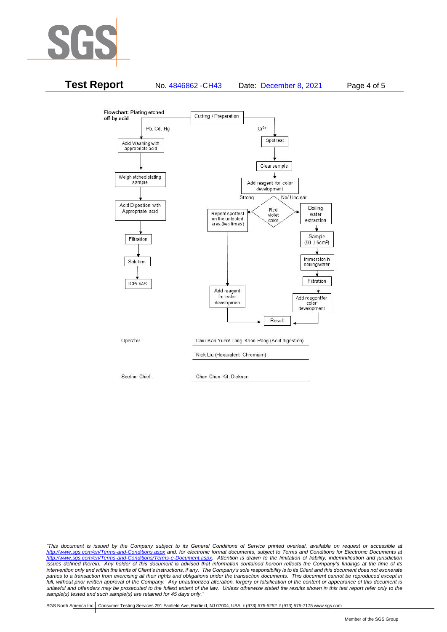



*"This document is issued by the Company subject to its General Conditions of Service printed overleaf, available on request or accessible at <http://www.sgs.com/en/Terms-and-Conditions.aspx> and, for electronic format documents, subject to Terms and Conditions for Electronic Documents at [http://www.sgs.com/en/Terms-and-Conditions/Terms-e-Document.aspx.](http://www.sgs.com/en/Terms-and-Conditions/Terms-e-Document.aspx) Attention is drawn to the limitation of liability, indemnification and jurisdiction issues defined therein. Any holder of this document is advised that information contained hereon reflects the Company's findings at the time of its intervention only and within the limits of Client's instructions, if any. The Company's sole responsibility is to its Client and this document does not exonerate*  parties to a transaction from exercising all their rights and obligations under the transaction documents. This document cannot be reproduced except in *full, without prior written approval of the Company. Any unauthorized alteration, forgery or falsification of the content or appearance of this document is unlawful and offenders may be prosecuted to the fullest extent of the law. Unless otherwise stated the results shown in this test report refer only to the sample(s) tested and such sample(s) are retained for 45 days only."*